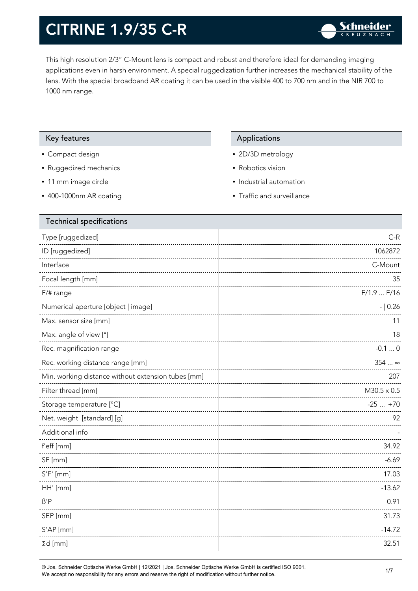This high resolution 2/3" C-Mount lens is compact and robust and therefore ideal for demanding imaging applications even in harsh environment. A special ruggedization further increases the mechanical stability of the lens. With the special broadband AR coating it can be used in the visible 400 to 700 nm and in the NIR 700 to 1000 nm range.

#### Key features Applications Applications

- Compact design
- Ruggedized mechanics
- 11 mm image circle
- 400-1000nm AR coating

- 2D/3D metrology
- Robotics vision
- Industrial automation
- Traffic and surveillance

| <b>Technical specifications</b>                    |                       |
|----------------------------------------------------|-----------------------|
| Type [ruggedized]                                  | $C-R$                 |
| ID [ruggedized]                                    | 1062872               |
| Interface                                          | C-Mount               |
| Focal length [mm]                                  | 35                    |
| F/# range                                          | F/1.9 F/16            |
| Numerical aperture [object   image]                | $- 0.26$              |
| Max. sensor size [mm]                              | 11                    |
| Max. angle of view [°]                             | 18                    |
| Rec. magnification range                           | $-0.10$               |
| Rec. working distance range [mm]                   | 354 $\ldots$ $\infty$ |
| Min. working distance without extension tubes [mm] | 207                   |
| Filter thread [mm]                                 | $M30.5 \times 0.5$    |
| Storage temperature [°C]                           | $-25+70$              |
| Net. weight [standard] [g]                         | 92                    |
| Additional info                                    |                       |
| f'eff [mm]                                         | 34.92                 |
| SF [mm]                                            | $-6.69$               |
| $S'F'$ [mm]                                        | 17.03                 |
| HH' [mm]                                           | $-13.62$              |
| $\beta'$ P                                         | 0.91                  |
| SEP [mm]                                           | 31.73                 |
| S'AP [mm]                                          | $-14.72$              |
| $\Sigma d$ [mm]                                    | 32.51                 |
|                                                    |                       |

© Jos. Schneider Optische Werke GmbH | 12/2021 | Jos. Schneider Optische Werke GmbH is certified ISO 9001. We accept no responsibility for any errors and reserve the right of modification without further notice.<br>We accept no responsibility for any errors and reserve the right of modification without further notice.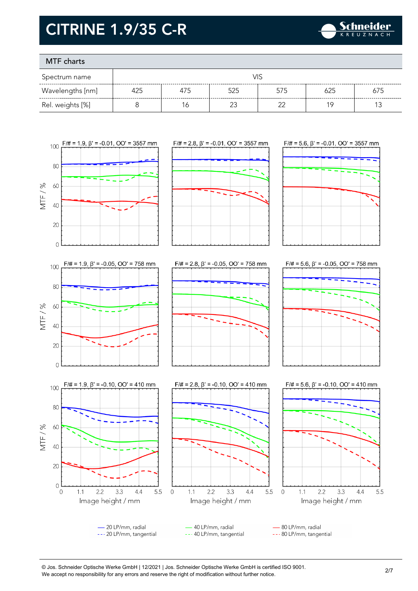

### MTF charts

| Spectrum name    |     |     |        |        |     |     |
|------------------|-----|-----|--------|--------|-----|-----|
| Wavelengths [nm] | 425 | 475 | 525    | 575    | 625 | 675 |
| Rel. weights [%] |     | 6   | $\sim$ | $\sim$ | 1 C |     |



- 20 LP/mm, radial 40 LP/mm, radial 80 LP/mm, radial --- 20 LP/mm, tangential --- 40 LP/mm, tangential --- 80 LP/mm, tangential

© Jos. Schneider Optische Werke GmbH | 12/2021 | Jos. Schneider Optische Werke GmbH is certified ISO 9001. We accept no responsibility for any errors and reserve the right of modification without further notice.<br>We accept no responsibility for any errors and reserve the right of modification without further notice.

 $2.2$ 

3.3

 $4.4$ 

5.5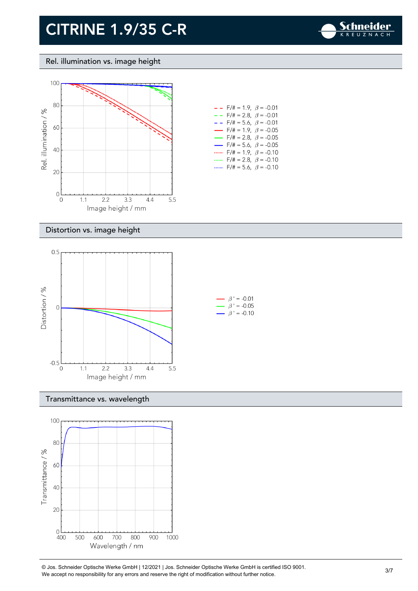

#### Rel. illumination vs. image height



| - -                      | $F/\# = 1.9, \ \ \beta = -0.01$         |  |
|--------------------------|-----------------------------------------|--|
| - -                      | $F/\ddot{}=2.8,~\beta = -0.01$          |  |
| $ -$                     | $F/\ddot{=} = 5.6, \ \beta = -0.01$     |  |
| $\overline{\phantom{0}}$ | $F/\ddot{\pi} = 1.9, \ \beta = -0.05$   |  |
| —                        | $F/\ddot{\pi} = 2.8, \ \beta = -0.05$   |  |
| $\overline{\phantom{0}}$ | $F/\ddot{\pi} = 5.6, \ \ \beta = -0.05$ |  |
|                          | $F/\# = 1.9, \ \beta = -0.10$           |  |
|                          | $F/\ddot{=} = 2.8, \ \ \beta = -0.10$   |  |
|                          | $F/\ddot{=} = 5.6, \ \beta = -0.10$     |  |

#### Distortion vs. image height



#### Transmittance vs. wavelength



© Jos. Schneider Optische Werke GmbH | 12/2021 | Jos. Schneider Optische Werke GmbH is certified ISO 9001. We accept no responsibility for any errors and reserve the right of modification without further notice.<br>We accept no responsibility for any errors and reserve the right of modification without further notice.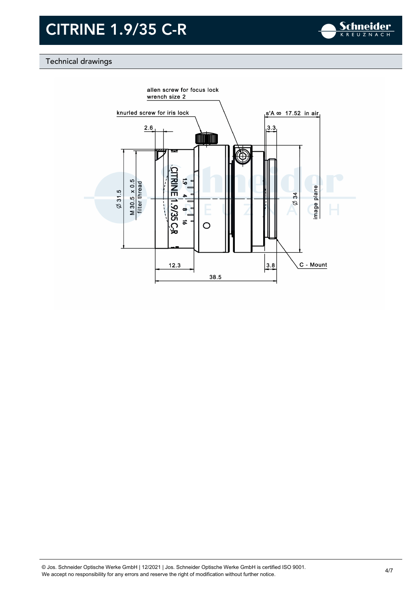

### Technical drawings

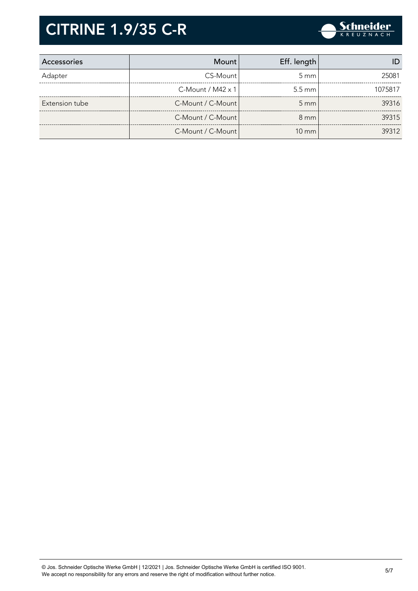

| Accessories    | Mount                       | Eff. length      |         |
|----------------|-----------------------------|------------------|---------|
| Adapter        | CS-Mount                    | $5 \text{ mm}$   | 25081   |
|                | $C$ -Mount / M42 $\times$ 1 | $5.5 \text{ mm}$ | 1075817 |
| Extension tube | C-Mount / C-Mount           | $5 \text{ mm}$   | 39316   |
|                | C-Mount / C-Mount           | $8 \text{ mm}$   | 39315   |
|                | C-Mount / C-Mount           | $10 \text{ mm}$  | 39312   |